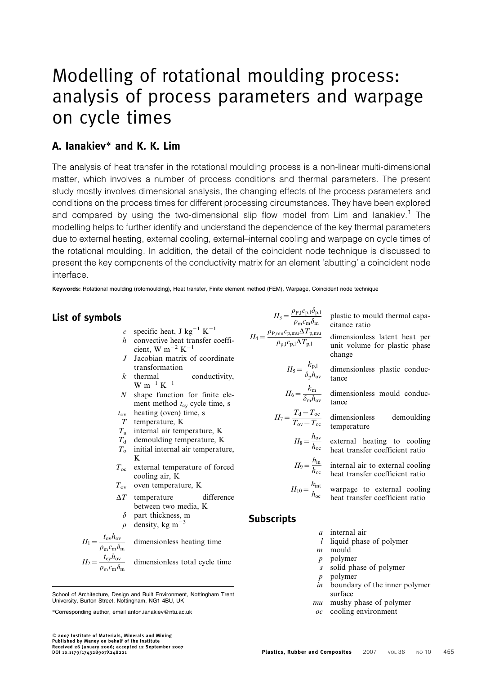# Modelling of rotational moulding process: analysis of process parameters and warpage on cycle times

## A. Ianakiev\* and K. K. Lim

The analysis of heat transfer in the rotational moulding process is a non-linear multi-dimensional matter, which involves a number of process conditions and thermal parameters. The present study mostly involves dimensional analysis, the changing effects of the process parameters and conditions on the process times for different processing circumstances. They have been explored and compared by using the two-dimensional slip flow model from Lim and lanakiev.<sup>1</sup> The modelling helps to further identify and understand the dependence of the key thermal parameters due to external heating, external cooling, external–internal cooling and warpage on cycle times of the rotational moulding. In addition, the detail of the coincident node technique is discussed to present the key components of the conductivity matrix for an element 'abutting' a coincident node interface.

Keywords: Rotational moulding (rotomoulding), Heat transfer, Finite element method (FEM), Warpage, Coincident node technique

## List of symbols

c specific heat, J kg2<sup>1</sup> K2<sup>1</sup>

- h convective heat transfer coefficient, W m<sup> $-2$ </sup> K<sup> $-1$ </sup>
- J Jacobian matrix of coordinate transformation
- $k$  thermal conductivity,  $\mbox{W}$  m  $^{-1}$ <br> $\mbox{K}^{-1}$
- N shape function for finite element method  $t_{\rm cv}$  cycle time, s
- $t_{ov}$  heating (oven) time, s
- T temperature, K
- $T_a$  internal air temperature, K
- $T<sub>d</sub>$  demoulding temperature, K
- $T<sub>o</sub>$  initial internal air temperature, K
- $T_{\rm oc}$  external temperature of forced cooling air, K
- $T_{\text{ov}}$  oven temperature, K
- $\Delta T$  temperature difference between two media, K
	- $\delta$  part thickness, m
- $\rho$  density, kg m<sup>-3</sup>

$$
II_1 = \frac{t_{ov} h_{ov}}{\rho_m c_m \delta_m}
$$
 dimensionless heating time  

$$
II_2 = \frac{t_{cy} h_{ov}}{\rho_m c_m \delta_m}
$$
 dimensionless total cycle time

School of Architecture, Design and Built Environment, Nottingham Trent University, Burton Street, Nottingham, NG1 4BU, UK

 2007 Institute of Materials, Minerals and Mining Published by Maney on behalf of the Institute Received 26 January 2006; accepted 12 September 2007

 $II_3 = \frac{\rho_{\rm P,I} c_{\rm p,I} \delta_{\rm p,I}}{\rho_{\rm m} c_{\rm m} \delta_{\rm m}}$  plastic to mould thermal capacitance ratio

- $II_4 = \frac{\rho_{\rm P,mu}c_{\rm p,mu}\Delta T_{\rm p,mu}}{\rho_{\rm p,l}c_{\rm p,l}\Delta T_{\rm p,l}}$ dimensionless latent heat per unit volume for plastic phase change
	- $II_5 = \frac{k_{\rm p,l}}{\delta_{\rm p}h_{\rm ov}}$  dimensionless plastic conductance
	- $II_6 = \frac{k_{\rm m}}{\delta_{\rm m} h_{\rm ov}}$ dimensionless mould conductance
	- $II_7 = \frac{T_d T_{oc}}{T_{ov} T_{oc}}$  dimensionless demoulding temperature
		- $II_8 = \frac{h_{ov}}{h_{oc}}$  external heating to cooling heat transfer coefficient ratio
		- $II_9 = \frac{h_{\text{in}}}{h_{\text{oc}}}$  internal air to external cooling heat transfer coefficient ratio
		- $II_{10} = \frac{h_{\text{int}}}{h_{\text{oc}}}$  warpage to external cooling heat transfer coefficient ratio
- **Subscripts** 
	- a internal air
	- l liquid phase of polymer
	- $m$  mould
	- p polymer
	- s solid phase of polymer
	- p polymer
	- in boundary of the inner polymer surface
	- mu mushy phase of polymer
	- oc cooling environment

<sup>\*</sup>Corresponding author, email anton.ianakiev@ntu.ac.uk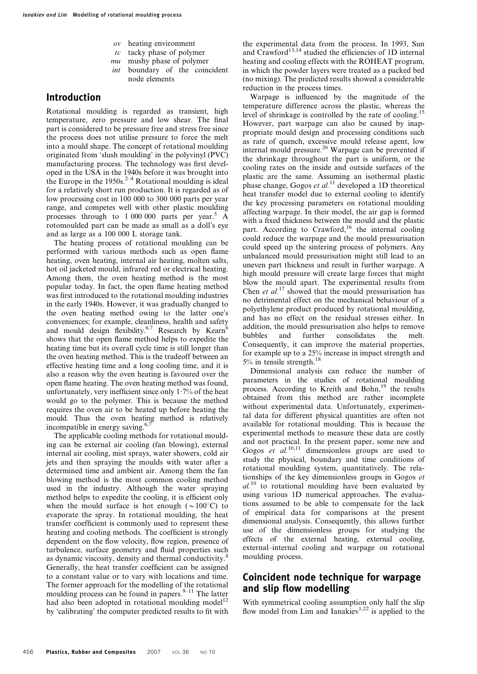- ov heating environment
- $tc$  tacky phase of polymer
- mu mushy phase of polymer
- int boundary of the coincident node elements

### Introduction

Rotational moulding is regarded as transient, high temperature, zero pressure and low shear. The final part is considered to be pressure free and stress free since the process does not utilise pressure to force the melt into a mould shape. The concept of rotational moulding originated from 'slush moulding' in the polyvinyl (PVC) manufacturing process. The technology was first developed in the USA in the 1940s before it was brought into the Europe in the 1950s.<sup>2-4</sup> Rotational moulding is ideal for a relatively short run production. It is regarded as of low processing cost in 100 000 to 300 000 parts per year range, and competes well with other plastic moulding processes through to  $1\,000\,000$  parts per year.<sup>5</sup> A rotomoulded part can be made as small as a doll's eye and as large as a 100 000 L storage tank.

The heating process of rotational moulding can be performed with various methods such as open flame heating, oven heating, internal air heating, molten salts, hot oil jacketed mould, infrared red or electrical heating. Among them, the oven heating method is the most popular today. In fact, the open flame heating method was first introduced to the rotational moulding industries in the early 1940s. However, it was gradually changed to the oven heating method owing to the latter one's conveniences; for example, cleanliness, health and safety and mould design flexibility.<sup>6,7</sup> Research by Kearn<sup>6</sup> shows that the open flame method helps to expedite the heating time but its overall cycle time is still longer than the oven heating method. This is the tradeoff between an effective heating time and a long cooling time, and it is also a reason why the oven heating is favoured over the open flame heating. The oven heating method was found, unfortunately, very inefficient since only  $1.7\%$  of the heat would go to the polymer. This is because the method requires the oven air to be heated up before heating the mould. Thus the oven heating method is relatively incompatible in energy saving. $6,7$ 

The applicable cooling methods for rotational moulding can be external air cooling (fan blowing), external internal air cooling, mist sprays, water showers, cold air jets and then spraying the moulds with water after a determined time and ambient air. Among them the fan blowing method is the most common cooling method used in the industry. Although the water spraying method helps to expedite the cooling, it is efficient only when the mould surface is hot enough  $({\sim}100^{\circ}C)$  to evaporate the spray. In rotational moulding, the heat transfer coefficient is commonly used to represent these heating and cooling methods. The coefficient is strongly dependent on the flow velocity, flow region, presence of turbulence, surface geometry and fluid properties such as dynamic viscosity, density and thermal conductivity.<sup>8</sup> Generally, the heat transfer coefficient can be assigned to a constant value or to vary with locations and time. The former approach for the modelling of the rotational moulding process can be found in papers. $9-11$  The latter had also been adopted in rotational moulding model<sup>12</sup> by 'calibrating' the computer predicted results to fit with

the experimental data from the process. In 1993, Sun and  $C$ rawford<sup>13,14</sup> studied the efficiencies of 1D internal heating and cooling effects with the ROHEAT program, in which the powder layers were treated as a packed bed (no mixing). The predicted results showed a considerable reduction in the process times.

Warpage is influenced by the magnitude of the temperature difference across the plastic, whereas the level of shrinkage is controlled by the rate of cooling.15 However, part warpage can also be caused by inappropriate mould design and processing conditions such as rate of quench, excessive mould release agent, low internal mould pressure.20 Warpage can be prevented if the shrinkage throughout the part is uniform, or the cooling rates on the inside and outside surfaces of the plastic are the same. Assuming an isothermal plastic phase change, Gogos et  $al$ .<sup>11</sup> developed a 1D theoretical heat transfer model due to external cooling to identify the key processing parameters on rotational moulding affecting warpage. In their model, the air gap is formed with a fixed thickness between the mould and the plastic part. According to Crawford,<sup>16</sup> the internal cooling could reduce the warpage and the mould pressurisation could speed up the sintering process of polymers. Any unbalanced mould pressurisation might still lead to an uneven part thickness and result in further warpage. A high mould pressure will create large forces that might blow the mould apart. The experimental results from Chen et  $al$ <sup>17</sup> showed that the mould pressurisation has no detrimental effect on the mechanical behaviour of a polyethylene product produced by rotational moulding, and has no effect on the residual stresses either. In addition, the mould pressurisation also helps to remove bubbles and further consolidates the melt. Consequently, it can improve the material properties, for example up to a 25% increase in impact strength and 5% in tensile strength.<sup>18</sup>

Dimensional analysis can reduce the number of parameters in the studies of rotational moulding process. According to Kreith and Bohn,<sup>19</sup> the results obtained from this method are rather incomplete without experimental data. Unfortunately, experimental data for different physical quantities are often not available for rotational moulding. This is because the experimental methods to measure these data are costly and not practical. In the present paper, some new and Gogos  $\vec{et}$  al.<sup>10,11</sup> dimensionless groups are used to study the physical, boundary and time conditions of rotational moulding system, quantitatively. The relationships of the key dimensionless groups in Gogos et  $al.$ <sup>10</sup> to rotational moulding have been evaluated by using various 1D numerical approaches. The evaluations assumed to be able to compensate for the lack of empirical data for comparisons at the present dimensional analysis. Consequently, this allows further use of the dimensionless groups for studying the effects of the external heating, external cooling, external–internal cooling and warpage on rotational moulding process.

## Coincident node technique for warpage and slip flow modelling

With symmetrical cooling assumption only half the slip flow model from Lim and Ianakiev<sup>1,22</sup> is applied to the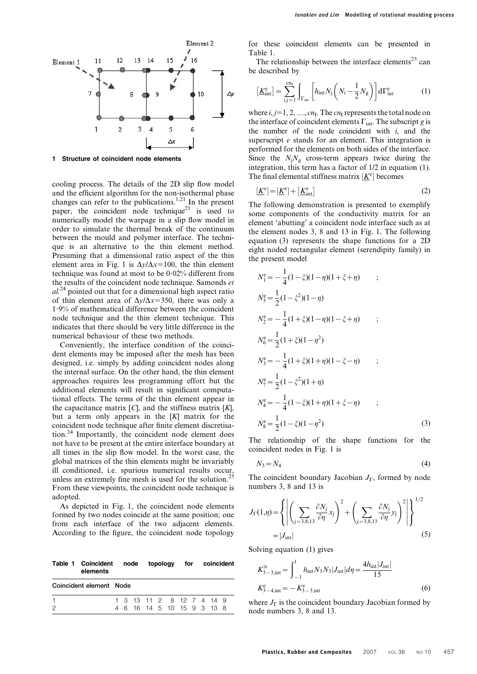

Structure of coincident node elements

cooling process. The details of the 2D slip flow model and the efficient algorithm for the non-isothermal phase changes can refer to the publications.<sup>1,21</sup> In the present paper, the coincident node technique<sup>23</sup> is used to numerically model the warpage in a slip flow model in order to simulate the thermal break of the continuum between the mould and polymer interface. The technique is an alternative to the thin element method. Presuming that a dimensional ratio aspect of the thin element area in Fig. 1 is  $\Delta y/\Delta x=100$ , the thin element technique was found at most to be  $0.02\%$  different from the results of the coincident node technique. Samonds et  $al.<sup>24</sup>$  pointed out that for a dimensional high aspect ratio of thin element area of  $\Delta y/\Delta x=350$ , there was only a 1?9% of mathematical difference between the coincident node technique and the thin element technique. This indicates that there should be very little difference in the numerical behaviour of these two methods.

Conveniently, the interface condition of the coincident elements may be imposed after the mesh has been designed, i.e. simply by adding coincident nodes along the internal surface. On the other hand, the thin element approaches requires less programming effort but the additional elements will result in significant computational effects. The terms of the thin element appear in the capacitance matrix  $[C]$ , and the stiffness matrix  $[K]$ , but a term only appears in the  $[K]$  matrix for the coincident node technique after finite element discretisation.24 Importantly, the coincident node element does not have to be present at the entire interface boundary at all times in the slip flow model. In the worst case, the global matrices of the thin elements might be invariably ill conditioned, i.e. spurious numerical results occur, unless an extremely fine mesh is used for the solution.<sup>25</sup> From these viewpoints, the coincident node technique is adopted.

As depicted in Fig. 1, the coincident node elements formed by two nodes coincide at the same position; one from each interface of the two adjacent elements. According to the figure, the coincident node topology

| elements | Coincident element Node |  |  |  | Table 1 Coincident node topology for coincident<br>1 3 13 11 2 8 12 7 4 14 9<br>4 6 16 14 5 10 15 9 3 13 8 |
|----------|-------------------------|--|--|--|------------------------------------------------------------------------------------------------------------|

for these coincident elements can be presented in Table 1.

The relationship between the interface elements<sup>23</sup> can be described by

$$
\left[\underline{\boldsymbol{K}}_{int}^{\text{e}}\right] = \sum_{i,j=1}^{cn_{\text{I}}} \int_{\Gamma_{int}} \left[h_{int} N_{j} \left(N_{i} - \frac{1}{2} N_{g}\right)\right] d\Gamma_{int}^{\text{e}} \tag{1}
$$

where  $i, j=1, 2, ..., cn<sub>I</sub>$ . The  $cn<sub>I</sub>$  represents the total node on the interface of coincident elements  $\Gamma_{int}$ . The subscript g is the number of the node coincident with  $i$ , and the superscript *e* stands for an element. This integration is performed for the elements on both sides of the interface. Since the  $N_iN_g$  cross-term appears twice during the integration, this term has a factor of 1/2 in equation (1). The final elemental stiffness matrix  $[K^e]$  becomes

$$
[\underline{K}^e] = [\underline{K}^e] + [\underline{K}^e_{int}] \tag{2}
$$

The following demonstration is presented to exemplify some components of the conductivity matrix for an element 'abutting' a coincident node interface such as at the element nodes 3, 8 and 13 in Fig. 1. The following equation (3) represents the shape functions for a 2D eight noded rectangular element (serendipity family) in the present model

$$
N_1^e = -\frac{1}{4}(1-\xi)(1-\eta)(1+\xi+\eta) ;
$$
  
\n
$$
N_5^e = \frac{1}{2}(1-\xi^2)(1-\eta) \nN_2^e = -\frac{1}{4}(1+\xi)(1-\eta)(1-\xi+\eta) ;
$$
  
\n
$$
N_6^e = \frac{1}{2}(1+\xi)(1-\eta^2) \nN_3^e = -\frac{1}{4}(1+\xi)(1+\eta)(1-\xi-\eta) ;
$$
  
\n
$$
N_7^e = \frac{1}{2}(1-\xi^2)(1+\eta) \nN_4^e = -\frac{1}{4}(1-\xi)(1+\eta)(1+\xi-\eta) ;
$$
  
\n
$$
N_8^e = \frac{1}{2}(1-\xi)(1-\eta^2) (3)
$$

The relationship of the shape functions for the coincident nodes in Fig. 1 is

$$
N_3 = N_4 \tag{4}
$$

The coincident boundary Jacobian  $J_{\Gamma}$ , formed by node numbers 3, 8 and 13 is

$$
J_{\Gamma}(1,\eta) = \left\{ \left| \left( \sum_{j=3,8,13} \frac{\partial N_j}{\partial \eta} x_j \right)^2 + \left( \sum_{j=3,8,13} \frac{\partial N_j}{\partial \eta} y_j \right)^2 \right| \right\}^{1/2}
$$
  
= |J\_{int}| (5)

Solving equation (1) gives

$$
K_{3-3,\text{int}}^{\text{le}} = \int_{-1}^{1} h_{\text{int}} N_3 N_3 |J_{\text{int}}| d\eta = \frac{4h_{\text{int}} |J_{\text{int}}|}{15}
$$
  

$$
K_{3-4,\text{int}}^{\text{e}} = -K_{3-3,\text{int}}^{\text{e}} \tag{6}
$$

where  $J_{\Gamma}$  is the coincident boundary Jacobian formed by node numbers 3, 8 and 13.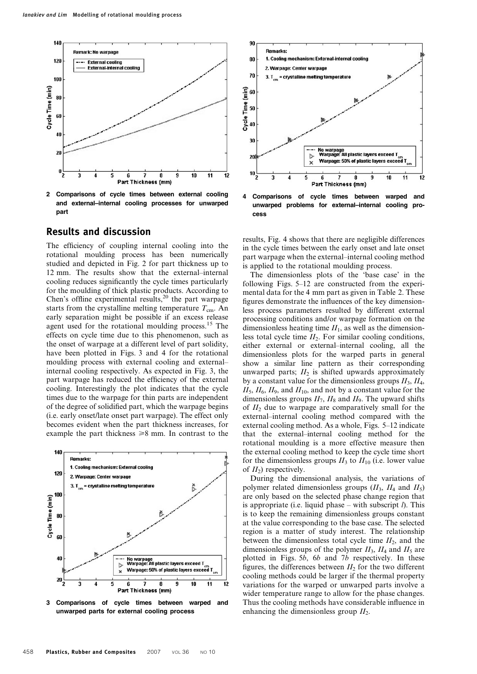

2 Comparisons of cycle times between external cooling and external–internal cooling processes for unwarped part

#### Results and discussion

The efficiency of coupling internal cooling into the rotational moulding process has been numerically studied and depicted in Fig. 2 for part thickness up to 12 mm. The results show that the external–internal cooling reduces significantly the cycle times particularly for the moulding of thick plastic products. According to Chen's offline experimental results,<sup>20</sup> the part warpage starts from the crystalline melting temperature  $T_{cm}$ . An early separation might be possible if an excess release agent used for the rotational moulding process.<sup>15</sup> The effects on cycle time due to this phenomenon, such as the onset of warpage at a different level of part solidity, have been plotted in Figs. 3 and 4 for the rotational moulding process with external cooling and external– internal cooling respectively. As expected in Fig. 3, the part warpage has reduced the efficiency of the external cooling. Interestingly the plot indicates that the cycle times due to the warpage for thin parts are independent of the degree of solidified part, which the warpage begins (i.e. early onset/late onset part warpage). The effect only becomes evident when the part thickness increases, for example the part thickness  $\geq 8$  mm. In contrast to the



3 Comparisons of cycle times between warped and unwarped parts for external cooling process



4 Comparisons of cycle times between warped and unwarped problems for external–internal cooling process

results, Fig. 4 shows that there are negligible differences in the cycle times between the early onset and late onset part warpage when the external–internal cooling method is applied to the rotational moulding process.

The dimensionless plots of the 'base case' in the following Figs. 5–12 are constructed from the experimental data for the 4 mm part as given in Table 2. These figures demonstrate the influences of the key dimensionless process parameters resulted by different external processing conditions and/or warpage formation on the dimensionless heating time  $II<sub>1</sub>$ , as well as the dimensionless total cycle time  $II_2$ . For similar cooling conditions, either external or external–internal cooling, all the dimensionless plots for the warped parts in general show a similar line pattern as their corresponding unwarped parts;  $II_2$  is shifted upwards approximately by a constant value for the dimensionless groups  $II_3$ ,  $II_4$ ,  $II_5$ ,  $II_6$ ,  $II_9$ , and  $II_{10}$ , and not by a constant value for the dimensionless groups  $II_7$ ,  $II_8$  and  $II_9$ . The upward shifts of  $II_2$  due to warpage are comparatively small for the external–internal cooling method compared with the external cooling method. As a whole, Figs. 5–12 indicate that the external–internal cooling method for the rotational moulding is a more effective measure then the external cooling method to keep the cycle time short for the dimensionless groups  $II_3$  to  $II_{10}$  (i.e. lower value of  $II_2$ ) respectively.

During the dimensional analysis, the variations of polymer related dimensionless groups  $(II_3, II_4 \text{ and } II_5)$ are only based on the selected phase change region that is appropriate (i.e. liquid phase – with subscript  $l$ ). This is to keep the remaining dimensionless groups constant at the value corresponding to the base case. The selected region is a matter of study interest. The relationship between the dimensionless total cycle time  $II_2$ , and the dimensionless groups of the polymer  $II_3$ ,  $II_4$  and  $II_5$  are plotted in Figs. 5b, 6b and 7b respectively. In these figures, the differences between  $II_2$  for the two different cooling methods could be larger if the thermal property variations for the warped or unwarped parts involve a wider temperature range to allow for the phase changes. Thus the cooling methods have considerable influence in enhancing the dimensionless group  $II_2$ .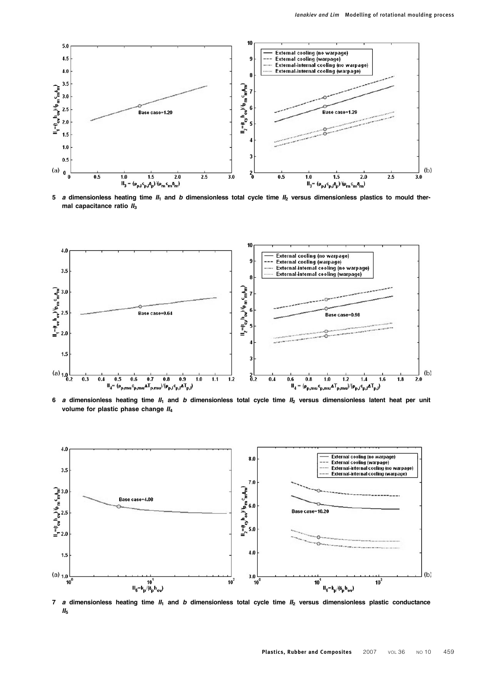

5 a dimensionless heating time  $II_1$  and b dimensionless total cycle time  $II_2$  versus dimensionless plastics to mould thermal capacitance ratio  $II_3$ 



6 a dimensionless heating time  $II_1$  and b dimensionless total cycle time  $II_2$  versus dimensionless latent heat per unit volume for plastic phase change  $II<sub>4</sub>$ 



7 a dimensionless heating time  $II_1$  and b dimensionless total cycle time  $II_2$  versus dimensionless plastic conductance  $II<sub>5</sub>$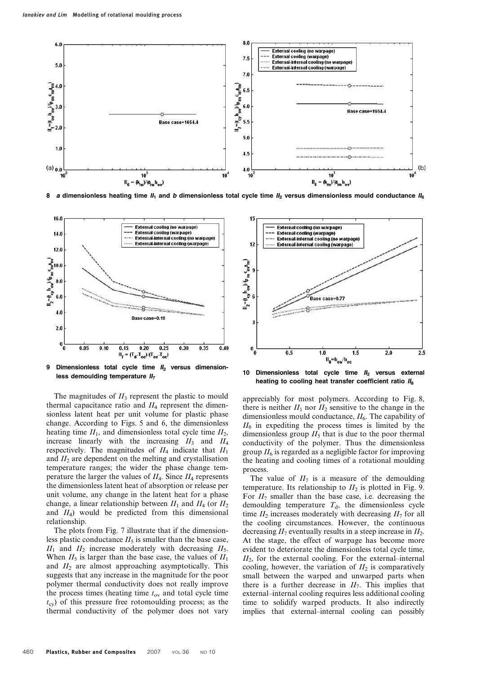

8 a dimensionless heating time  $II_1$  and b dimensionless total cycle time  $II_2$  versus dimensionless mould conductance  $II_6$ 



9 Dimensionless total cycle time  $II_2$  versus dimensionless demoulding temperature  $II<sub>7</sub>$ 

The magnitudes of  $II_3$  represent the plastic to mould thermal capacitance ratio and  $II_4$  represent the dimensionless latent heat per unit volume for plastic phase change. According to Figs. 5 and 6, the dimensionless heating time  $II_1$ , and dimensionless total cycle time  $II_2$ , increase linearly with the increasing  $II_3$  and  $II_4$ respectively. The magnitudes of  $II_4$  indicate that  $II_1$ and  $II_2$  are dependent on the melting and crystallisation temperature ranges; the wider the phase change temperature the larger the values of  $II_4$ . Since  $II_4$  represents the dimensionless latent heat of absorption or release per unit volume, any change in the latent heat for a phase change, a linear relationship between  $II_1$  and  $II_4$  (or  $II_2$ ) and  $II_4$ ) would be predicted from this dimensional relationship.

The plots from Fig. 7 illustrate that if the dimensionless plastic conductance  $II_5$  is smaller than the base case,  $II_1$  and  $II_2$  increase moderately with decreasing  $II_5$ . When  $II_5$  is larger than the base case, the values of  $II_1$ and  $II_2$  are almost approaching asymptotically. This suggests that any increase in the magnitude for the poor polymer thermal conductivity does not really improve the process times (heating time  $t_{\text{ov}}$  and total cycle time  $t_{\rm cv}$ ) of this pressure free rotomoulding process; as the thermal conductivity of the polymer does not vary



10 Dimensionless total cycle time  $II_2$  versus external heating to cooling heat transfer coefficient ratio  $II_8$ 

appreciably for most polymers. According to Fig. 8, there is neither  $II_1$  nor  $II_2$  sensitive to the change in the dimensionless mould conductance,  $H_6$ . The capability of  $II<sub>6</sub>$  in expediting the process times is limited by the dimensionless group  $II_5$  that is due to the poor thermal conductivity of the polymer. Thus the dimensionless group  $II<sub>6</sub>$  is regarded as a negligible factor for improving the heating and cooling times of a rotational moulding process.

The value of  $II_7$  is a measure of the demoulding temperature. Its relationship to  $II_2$  is plotted in Fig. 9. For  $II_7$  smaller than the base case, i.e. decreasing the demoulding temperature  $T<sub>d</sub>$ , the dimensionless cycle time  $II_2$  increases moderately with decreasing  $II_7$  for all the cooling circumstances. However, the continuous decreasing  $II_7$  eventually results in a steep increase in  $II_2$ . At the stage, the effect of warpage has become more evident to deteriorate the dimensionless total cycle time,  $II<sub>2</sub>$ , for the external cooling. For the external–internal cooling, however, the variation of  $II_2$  is comparatively small between the warped and unwarped parts when there is a further decrease in  $II_7$ . This implies that external–internal cooling requires less additional cooling time to solidify warped products. It also indirectly implies that external–internal cooling can possibly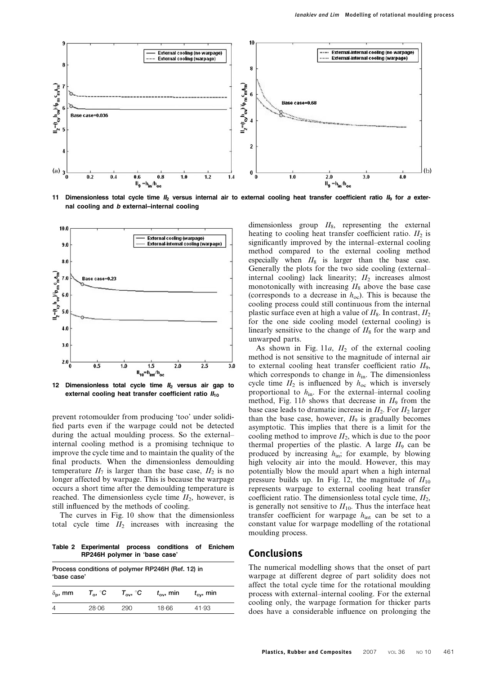

11 Dimensionless total cycle time  $I_2$  versus internal air to external cooling heat transfer coefficient ratio  $I_9$  for a external cooling and b external–internal cooling



12 Dimensionless total cycle time  $II_2$  versus air gap to external cooling heat transfer coefficient ratio  $II_{10}$ 

prevent rotomoulder from producing 'too' under solidified parts even if the warpage could not be detected during the actual moulding process. So the external– internal cooling method is a promising technique to improve the cycle time and to maintain the quality of the final products. When the dimensionless demoulding temperature  $II_7$  is larger than the base case,  $II_2$  is no longer affected by warpage. This is because the warpage occurs a short time after the demoulding temperature is reached. The dimensionless cycle time  $II_2$ , however, is still influenced by the methods of cooling.

The curves in Fig. 10 show that the dimensionless total cycle time  $II_2$  increases with increasing the

Table 2 Experimental process conditions of Enichem RP246H polymer in 'base case'

| Process conditions of polymer RP246H (Ref. 12) in<br>'base case' |       |                                            |                    |                    |  |  |  |  |  |  |
|------------------------------------------------------------------|-------|--------------------------------------------|--------------------|--------------------|--|--|--|--|--|--|
| $T_{\alpha}$ , $^{\circ}$ C<br>$\delta_{\bf p}$ , mm             |       | $\tau_{\mathsf{ov}}, \ ^{\circ}\mathsf{C}$ | $t_{\rm ov}$ , min | $t_{\rm cv}$ , min |  |  |  |  |  |  |
| 4                                                                | 28.06 | 290                                        | 18.66              | 41.93              |  |  |  |  |  |  |

dimensionless group  $II_8$ , representing the external heating to cooling heat transfer coefficient ratio.  $II_2$  is significantly improved by the internal–external cooling method compared to the external cooling method especially when  $II_8$  is larger than the base case. Generally the plots for the two side cooling (external– internal cooling) lack linearity;  $II_2$  increases almost monotonically with increasing  $II_8$  above the base case (corresponds to a decrease in  $h_{\text{oc}}$ ). This is because the cooling process could still continuous from the internal plastic surface even at high a value of  $II_8$ . In contrast,  $II_2$ for the one side cooling model (external cooling) is linearly sensitive to the change of  $II_8$  for the warp and unwarped parts.

As shown in Fig. 11a,  $II_2$  of the external cooling method is not sensitive to the magnitude of internal air to external cooling heat transfer coefficient ratio  $II_9$ , which corresponds to change in  $h_{\text{in}}$ . The dimensionless cycle time  $II_2$  is influenced by  $h_{\text{oc}}$  which is inversely proportional to  $h_{\text{in}}$ . For the external–internal cooling method, Fig. 11b shows that decrease in  $II_9$  from the base case leads to dramatic increase in  $II_2$ . For  $II_2$  larger than the base case, however,  $II_9$  is gradually becomes asymptotic. This implies that there is a limit for the cooling method to improve  $II_2$ , which is due to the poor thermal properties of the plastic. A large  $II_9$  can be produced by increasing  $h_{\text{in}}$ ; for example, by blowing high velocity air into the mould. However, this may potentially blow the mould apart when a high internal pressure builds up. In Fig. 12, the magnitude of  $II_{10}$ represents warpage to external cooling heat transfer coefficient ratio. The dimensionless total cycle time,  $II_2$ , is generally not sensitive to  $II_{10}$ . Thus the interface heat transfer coefficient for warpage  $h_{int}$  can be set to a constant value for warpage modelling of the rotational moulding process.

#### Conclusions

The numerical modelling shows that the onset of part warpage at different degree of part solidity does not affect the total cycle time for the rotational moulding process with external–internal cooling. For the external cooling only, the warpage formation for thicker parts does have a considerable influence on prolonging the